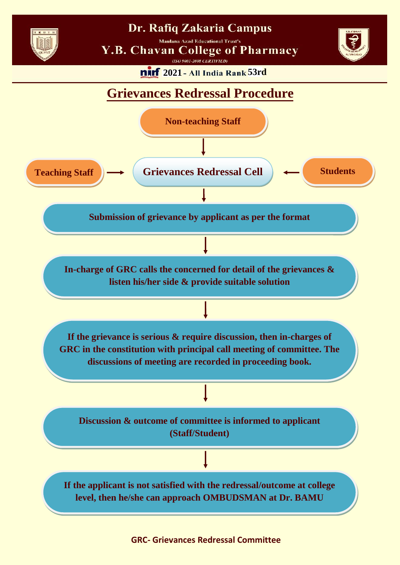

## Dr. Rafiq Zakaria Campus

**Maulana Azad Educational Trust's** 

**Y.B. Chavan College of Pharmacy** 

 $(ISO 9001-2008 \nCERTIFIED)$ 



**2021** - All India Rank 53rd

## **Grievances Redressal Procedure**